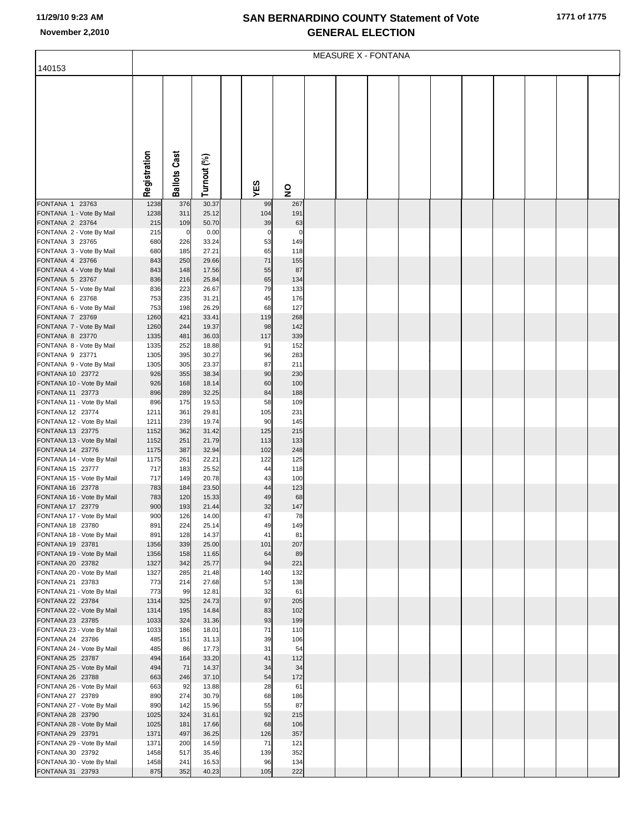## **SAN BERNARDINO COUNTY Statement of Vote November 2,2010 GENERAL ELECTION**

|                                               | <b>MEASURE X - FONTANA</b> |                       |                |  |                   |                    |  |  |  |  |  |  |  |  |  |
|-----------------------------------------------|----------------------------|-----------------------|----------------|--|-------------------|--------------------|--|--|--|--|--|--|--|--|--|
| 140153                                        |                            |                       |                |  |                   |                    |  |  |  |  |  |  |  |  |  |
|                                               |                            |                       |                |  |                   |                    |  |  |  |  |  |  |  |  |  |
|                                               |                            |                       |                |  |                   |                    |  |  |  |  |  |  |  |  |  |
|                                               |                            |                       |                |  |                   |                    |  |  |  |  |  |  |  |  |  |
|                                               |                            |                       |                |  |                   |                    |  |  |  |  |  |  |  |  |  |
|                                               |                            |                       |                |  |                   |                    |  |  |  |  |  |  |  |  |  |
|                                               |                            |                       |                |  |                   |                    |  |  |  |  |  |  |  |  |  |
|                                               |                            |                       |                |  |                   |                    |  |  |  |  |  |  |  |  |  |
|                                               |                            |                       |                |  |                   |                    |  |  |  |  |  |  |  |  |  |
|                                               |                            |                       |                |  |                   |                    |  |  |  |  |  |  |  |  |  |
|                                               | Registration               | <b>Ballots Cast</b>   | Turnout (%)    |  | YES               | 9                  |  |  |  |  |  |  |  |  |  |
| FONTANA 1 23763                               | 1238                       | 376                   | 30.37          |  | 99                | 267                |  |  |  |  |  |  |  |  |  |
| FONTANA 1 - Vote By Mail                      | 1238                       | 311                   | 25.12          |  | 104               | 191                |  |  |  |  |  |  |  |  |  |
| FONTANA 2 23764                               | 215                        | 109                   | 50.70          |  | 39                | 63                 |  |  |  |  |  |  |  |  |  |
| FONTANA 2 - Vote By Mail<br>FONTANA 3 23765   | 215<br>680                 | $\overline{0}$<br>226 | 0.00<br>33.24  |  | $\mathbf 0$<br>53 | $\mathbf 0$<br>149 |  |  |  |  |  |  |  |  |  |
| FONTANA 3 - Vote By Mail                      | 680                        | 185                   | 27.21          |  | 65                | 118                |  |  |  |  |  |  |  |  |  |
| FONTANA 4 23766                               | 843                        | 250                   | 29.66          |  | 71                | 155                |  |  |  |  |  |  |  |  |  |
| FONTANA 4 - Vote By Mail                      | 843                        | 148                   | 17.56          |  | 55                | 87                 |  |  |  |  |  |  |  |  |  |
| FONTANA 5 23767<br>FONTANA 5 - Vote By Mail   | 836<br>836                 | 216<br>223            | 25.84<br>26.67 |  | 65<br>79          | 134<br>133         |  |  |  |  |  |  |  |  |  |
| FONTANA 6 23768                               | 753                        | 235                   | 31.21          |  | 45                | 176                |  |  |  |  |  |  |  |  |  |
| FONTANA 6 - Vote By Mail                      | 753                        | 198                   | 26.29          |  | 68                | 127                |  |  |  |  |  |  |  |  |  |
| FONTANA 7 23769                               | 1260                       | 421                   | 33.41          |  | 119               | 268                |  |  |  |  |  |  |  |  |  |
| FONTANA 7 - Vote By Mail<br>FONTANA 8 23770   | 1260<br>1335               | 244<br>481            | 19.37<br>36.03 |  | 98<br>117         | 142<br>339         |  |  |  |  |  |  |  |  |  |
| FONTANA 8 - Vote By Mail                      | 1335                       | 252                   | 18.88          |  | 91                | 152                |  |  |  |  |  |  |  |  |  |
| FONTANA 9 23771                               | 1305                       | 395                   | 30.27          |  | 96                | 283                |  |  |  |  |  |  |  |  |  |
| FONTANA 9 - Vote By Mail                      | 1305                       | 305                   | 23.37          |  | 87                | 211                |  |  |  |  |  |  |  |  |  |
| FONTANA 10 23772<br>FONTANA 10 - Vote By Mail | 926<br>926                 | 355<br>168            | 38.34<br>18.14 |  | 90<br>60          | 230<br>100         |  |  |  |  |  |  |  |  |  |
| FONTANA 11 23773                              | 896                        | 289                   | 32.25          |  | 84                | 188                |  |  |  |  |  |  |  |  |  |
| FONTANA 11 - Vote By Mail                     | 896                        | 175                   | 19.53          |  | 58                | 109                |  |  |  |  |  |  |  |  |  |
| FONTANA 12 23774                              | 1211                       | 361                   | 29.81          |  | 105               | 231                |  |  |  |  |  |  |  |  |  |
| FONTANA 12 - Vote By Mail<br>FONTANA 13 23775 | 1211<br>1152               | 239<br>362            | 19.74<br>31.42 |  | 90<br>125         | 145<br>215         |  |  |  |  |  |  |  |  |  |
| FONTANA 13 - Vote By Mail                     | 1152                       | 251                   | 21.79          |  | 113               | 133                |  |  |  |  |  |  |  |  |  |
| FONTANA 14 23776                              | 1175                       | 387                   | 32.94          |  | 102               | 248                |  |  |  |  |  |  |  |  |  |
| FONTANA 14 - Vote By Mail                     | 1175                       | 261                   | 22.21          |  | 122               | 125                |  |  |  |  |  |  |  |  |  |
| FONTANA 15 23777<br>FONTANA 15 - Vote By Mail | 717<br>717                 | 183<br>149            | 25.52<br>20.78 |  | 44<br>43          | 118<br>100         |  |  |  |  |  |  |  |  |  |
| FONTANA 16 23778                              | 783                        | 184                   | 23.50          |  | 44                | 123                |  |  |  |  |  |  |  |  |  |
| FONTANA 16 - Vote By Mail                     | 783                        | 120                   | 15.33          |  | 49                | 68                 |  |  |  |  |  |  |  |  |  |
| FONTANA 17 23779                              | 900                        | 193                   | 21.44          |  | 32                | 147                |  |  |  |  |  |  |  |  |  |
| FONTANA 17 - Vote By Mail<br>FONTANA 18 23780 | 900<br>891                 | 126<br>224            | 14.00<br>25.14 |  | 47<br>49          | 78<br>149          |  |  |  |  |  |  |  |  |  |
| FONTANA 18 - Vote By Mail                     | 891                        | 128                   | 14.37          |  | 41                | 81                 |  |  |  |  |  |  |  |  |  |
| FONTANA 19 23781                              | 1356                       | 339                   | 25.00          |  | 101               | 207                |  |  |  |  |  |  |  |  |  |
| FONTANA 19 - Vote By Mail                     | 1356                       | 158                   | 11.65          |  | 64<br>94          | 89                 |  |  |  |  |  |  |  |  |  |
| FONTANA 20 23782<br>FONTANA 20 - Vote By Mail | 1327<br>1327               | 342<br>285            | 25.77<br>21.48 |  | 140               | 221<br>132         |  |  |  |  |  |  |  |  |  |
| FONTANA 21 23783                              | 773                        | 214                   | 27.68          |  | 57                | 138                |  |  |  |  |  |  |  |  |  |
| FONTANA 21 - Vote By Mail                     | 773                        | 99                    | 12.81          |  | 32                | 61                 |  |  |  |  |  |  |  |  |  |
| FONTANA 22 23784<br>FONTANA 22 - Vote By Mail | 1314<br>1314               | 325<br>195            | 24.73<br>14.84 |  | 97<br>83          | 205<br>102         |  |  |  |  |  |  |  |  |  |
| FONTANA 23 23785                              | 1033                       | 324                   | 31.36          |  | 93                | 199                |  |  |  |  |  |  |  |  |  |
| FONTANA 23 - Vote By Mail                     | 1033                       | 186                   | 18.01          |  | 71                | 110                |  |  |  |  |  |  |  |  |  |
| FONTANA 24 23786                              | 485                        | 151                   | 31.13          |  | 39                | 106                |  |  |  |  |  |  |  |  |  |
| FONTANA 24 - Vote By Mail                     | 485<br>494                 | 86<br>164             | 17.73<br>33.20 |  | 31<br>41          | 54<br>112          |  |  |  |  |  |  |  |  |  |
| FONTANA 25 23787<br>FONTANA 25 - Vote By Mail | 494                        | 71                    | 14.37          |  | 34                | 34                 |  |  |  |  |  |  |  |  |  |
| FONTANA 26 23788                              | 663                        | 246                   | 37.10          |  | 54                | 172                |  |  |  |  |  |  |  |  |  |
| FONTANA 26 - Vote By Mail                     | 663                        | 92                    | 13.88          |  | 28                | 61                 |  |  |  |  |  |  |  |  |  |
| FONTANA 27 23789<br>FONTANA 27 - Vote By Mail | 890<br>890                 | 274<br>142            | 30.79<br>15.96 |  | 68<br>55          | 186<br>87          |  |  |  |  |  |  |  |  |  |
| FONTANA 28 23790                              | 1025                       | 324                   | 31.61          |  | 92                | 215                |  |  |  |  |  |  |  |  |  |
| FONTANA 28 - Vote By Mail                     | 1025                       | 181                   | 17.66          |  | 68                | 106                |  |  |  |  |  |  |  |  |  |
| FONTANA 29 23791                              | 1371                       | 497                   | 36.25          |  | 126               | 357                |  |  |  |  |  |  |  |  |  |
| FONTANA 29 - Vote By Mail<br>FONTANA 30 23792 | 1371<br>1458               | 200<br>517            | 14.59<br>35.46 |  | 71<br>139         | 121<br>352         |  |  |  |  |  |  |  |  |  |
| FONTANA 30 - Vote By Mail                     | 1458                       | 241                   | 16.53          |  | 96                | 134                |  |  |  |  |  |  |  |  |  |
| FONTANA 31 23793                              | 875                        | 352                   | 40.23          |  | 105               | 222                |  |  |  |  |  |  |  |  |  |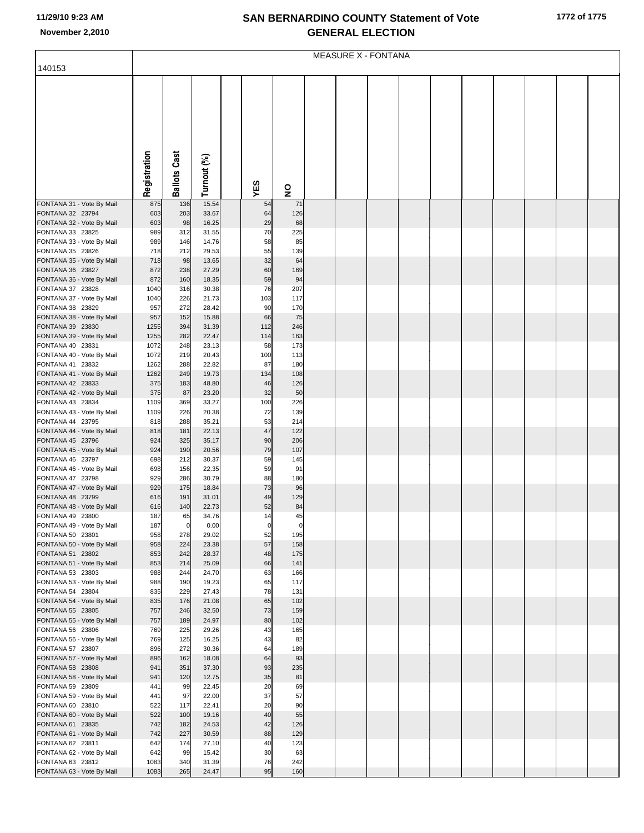## **SAN BERNARDINO COUNTY Statement of Vote November 2,2010 GENERAL ELECTION**

|                                               | <b>MEASURE X - FONTANA</b> |                      |                |  |               |                         |  |  |  |  |  |  |  |  |  |
|-----------------------------------------------|----------------------------|----------------------|----------------|--|---------------|-------------------------|--|--|--|--|--|--|--|--|--|
| 140153                                        |                            |                      |                |  |               |                         |  |  |  |  |  |  |  |  |  |
|                                               |                            |                      |                |  |               |                         |  |  |  |  |  |  |  |  |  |
|                                               |                            |                      |                |  |               |                         |  |  |  |  |  |  |  |  |  |
|                                               |                            |                      |                |  |               |                         |  |  |  |  |  |  |  |  |  |
|                                               |                            |                      |                |  |               |                         |  |  |  |  |  |  |  |  |  |
|                                               |                            |                      |                |  |               |                         |  |  |  |  |  |  |  |  |  |
|                                               |                            |                      |                |  |               |                         |  |  |  |  |  |  |  |  |  |
|                                               |                            |                      |                |  |               |                         |  |  |  |  |  |  |  |  |  |
|                                               |                            |                      |                |  |               |                         |  |  |  |  |  |  |  |  |  |
|                                               |                            |                      |                |  |               |                         |  |  |  |  |  |  |  |  |  |
|                                               | Registration               | <b>Ballots Cast</b>  |                |  |               |                         |  |  |  |  |  |  |  |  |  |
|                                               |                            |                      | Turnout (%)    |  | YES           | $\overline{\mathbf{z}}$ |  |  |  |  |  |  |  |  |  |
| FONTANA 31 - Vote By Mail                     | 875                        | 136                  | 15.54          |  | 54            | 71                      |  |  |  |  |  |  |  |  |  |
| FONTANA 32 23794                              | 603                        | 203                  | 33.67          |  | 64            | 126                     |  |  |  |  |  |  |  |  |  |
| FONTANA 32 - Vote By Mail                     | 603                        | 98                   | 16.25          |  | 29            | 68<br>225               |  |  |  |  |  |  |  |  |  |
| FONTANA 33 23825<br>FONTANA 33 - Vote By Mail | 989<br>989                 | 312<br>146           | 31.55<br>14.76 |  | 70<br>58      | 85                      |  |  |  |  |  |  |  |  |  |
| FONTANA 35 23826                              | 718                        | 212                  | 29.53          |  | 55            | 139                     |  |  |  |  |  |  |  |  |  |
| FONTANA 35 - Vote By Mail                     | 718                        | 98                   | 13.65          |  | 32            | 64                      |  |  |  |  |  |  |  |  |  |
| FONTANA 36 23827                              | 872                        | 238                  | 27.29          |  | 60            | 169                     |  |  |  |  |  |  |  |  |  |
| FONTANA 36 - Vote By Mail                     | 872                        | 160                  | 18.35          |  | 59            | 94                      |  |  |  |  |  |  |  |  |  |
| FONTANA 37 23828<br>FONTANA 37 - Vote By Mail | 1040<br>1040               | 316<br>226           | 30.38<br>21.73 |  | 76<br>103     | 207<br>117              |  |  |  |  |  |  |  |  |  |
| FONTANA 38 23829                              | 957                        | 272                  | 28.42          |  | 90            | 170                     |  |  |  |  |  |  |  |  |  |
| FONTANA 38 - Vote By Mail                     | 957                        | 152                  | 15.88          |  | 66            | 75                      |  |  |  |  |  |  |  |  |  |
| FONTANA 39 23830                              | 1255                       | 394                  | 31.39          |  | 112           | 246                     |  |  |  |  |  |  |  |  |  |
| FONTANA 39 - Vote By Mail                     | 1255                       | 282                  | 22.47          |  | 114           | 163                     |  |  |  |  |  |  |  |  |  |
| FONTANA 40 23831<br>FONTANA 40 - Vote By Mail | 1072<br>1072               | 248<br>219           | 23.13<br>20.43 |  | 58<br>100     | 173<br>113              |  |  |  |  |  |  |  |  |  |
| FONTANA 41 23832                              | 1262                       | 288                  | 22.82          |  | 87            | 180                     |  |  |  |  |  |  |  |  |  |
| FONTANA 41 - Vote By Mail                     | 1262                       | 249                  | 19.73          |  | 134           | 108                     |  |  |  |  |  |  |  |  |  |
| FONTANA 42 23833                              | 375                        | 183                  | 48.80          |  | 46            | 126                     |  |  |  |  |  |  |  |  |  |
| FONTANA 42 - Vote By Mail                     | 375                        | 87                   | 23.20          |  | 32            | 50                      |  |  |  |  |  |  |  |  |  |
| FONTANA 43 23834<br>FONTANA 43 - Vote By Mail | 1109<br>1109               | 369<br>226           | 33.27<br>20.38 |  | 100<br>72     | 226<br>139              |  |  |  |  |  |  |  |  |  |
| FONTANA 44 23795                              | 818                        | 288                  | 35.21          |  | 53            | 214                     |  |  |  |  |  |  |  |  |  |
| FONTANA 44 - Vote By Mail                     | 818                        | 181                  | 22.13          |  | 47            | 122                     |  |  |  |  |  |  |  |  |  |
| FONTANA 45 23796                              | 924                        | 325                  | 35.17          |  | 90            | 206                     |  |  |  |  |  |  |  |  |  |
| FONTANA 45 - Vote By Mail                     | 924                        | 190                  | 20.56          |  | 79            | 107                     |  |  |  |  |  |  |  |  |  |
| FONTANA 46 23797<br>FONTANA 46 - Vote By Mail | 698<br>698                 | 212<br>156           | 30.37<br>22.35 |  | 59<br>59      | 145<br>91               |  |  |  |  |  |  |  |  |  |
| FONTANA 47 23798                              | 929                        | 286                  | 30.79          |  | 88            | 180                     |  |  |  |  |  |  |  |  |  |
| FONTANA 47 - Vote By Mail                     | 929                        | 175                  | 18.84          |  | 73            | 96                      |  |  |  |  |  |  |  |  |  |
| FONTANA 48 23799                              | 616                        | 191                  | 31.01          |  | 49            | 129                     |  |  |  |  |  |  |  |  |  |
| FONTANA 48 - Vote By Mail                     | 616                        | 140                  | 22.73          |  | 52            | 84                      |  |  |  |  |  |  |  |  |  |
| FONTANA 49 23800<br>FONTANA 49 - Vote By Mail | 187<br>187                 | 65<br>$\overline{0}$ | 34.76<br>0.00  |  | 14<br>$\circ$ | 45<br>$\mathbf 0$       |  |  |  |  |  |  |  |  |  |
| FONTANA 50 23801                              | 958                        | 278                  | 29.02          |  | 52            | 195                     |  |  |  |  |  |  |  |  |  |
| FONTANA 50 - Vote By Mail                     | 958                        | 224                  | 23.38          |  | 57            | 158                     |  |  |  |  |  |  |  |  |  |
| FONTANA 51 23802                              | 853                        | 242                  | 28.37          |  | 48            | 175                     |  |  |  |  |  |  |  |  |  |
| FONTANA 51 - Vote By Mail                     | 853                        | 214                  | 25.09          |  | 66            | 141                     |  |  |  |  |  |  |  |  |  |
| FONTANA 53 23803<br>FONTANA 53 - Vote By Mail | 988<br>988                 | 244<br>190           | 24.70<br>19.23 |  | 63<br>65      | 166<br>117              |  |  |  |  |  |  |  |  |  |
| FONTANA 54 23804                              | 835                        | 229                  | 27.43          |  | 78            | 131                     |  |  |  |  |  |  |  |  |  |
| FONTANA 54 - Vote By Mail                     | 835                        | 176                  | 21.08          |  | 65            | 102                     |  |  |  |  |  |  |  |  |  |
| FONTANA 55 23805                              | 757                        | 246                  | 32.50          |  | 73            | 159                     |  |  |  |  |  |  |  |  |  |
| FONTANA 55 - Vote By Mail                     | 757                        | 189                  | 24.97          |  | 80            | 102                     |  |  |  |  |  |  |  |  |  |
| FONTANA 56 23806<br>FONTANA 56 - Vote By Mail | 769<br>769                 | 225<br>125           | 29.26<br>16.25 |  | 43<br>43      | 165<br>82               |  |  |  |  |  |  |  |  |  |
| FONTANA 57 23807                              | 896                        | 272                  | 30.36          |  | 64            | 189                     |  |  |  |  |  |  |  |  |  |
| FONTANA 57 - Vote By Mail                     | 896                        | 162                  | 18.08          |  | 64            | 93                      |  |  |  |  |  |  |  |  |  |
| FONTANA 58 23808                              | 941                        | 351                  | 37.30          |  | 93            | 235                     |  |  |  |  |  |  |  |  |  |
| FONTANA 58 - Vote By Mail                     | 941                        | 120                  | 12.75          |  | 35            | 81                      |  |  |  |  |  |  |  |  |  |
| FONTANA 59 23809<br>FONTANA 59 - Vote By Mail | 441<br>441                 | 99<br>97             | 22.45<br>22.00 |  | 20<br>37      | 69<br>57                |  |  |  |  |  |  |  |  |  |
| FONTANA 60 23810                              | 522                        | 117                  | 22.41          |  | 20            | 90                      |  |  |  |  |  |  |  |  |  |
| FONTANA 60 - Vote By Mail                     | 522                        | 100                  | 19.16          |  | 40            | 55                      |  |  |  |  |  |  |  |  |  |
| FONTANA 61 23835                              | 742                        | 182                  | 24.53          |  | 42            | 126                     |  |  |  |  |  |  |  |  |  |
| FONTANA 61 - Vote By Mail                     | 742                        | 227                  | 30.59          |  | 88            | 129                     |  |  |  |  |  |  |  |  |  |
| FONTANA 62 23811<br>FONTANA 62 - Vote By Mail | 642<br>642                 | 174<br>99            | 27.10<br>15.42 |  | 40<br>30      | 123<br>63               |  |  |  |  |  |  |  |  |  |
| FONTANA 63 23812                              | 1083                       | 340                  | 31.39          |  | 76            | 242                     |  |  |  |  |  |  |  |  |  |
| FONTANA 63 - Vote By Mail                     | 1083                       | 265                  | 24.47          |  | 95            | 160                     |  |  |  |  |  |  |  |  |  |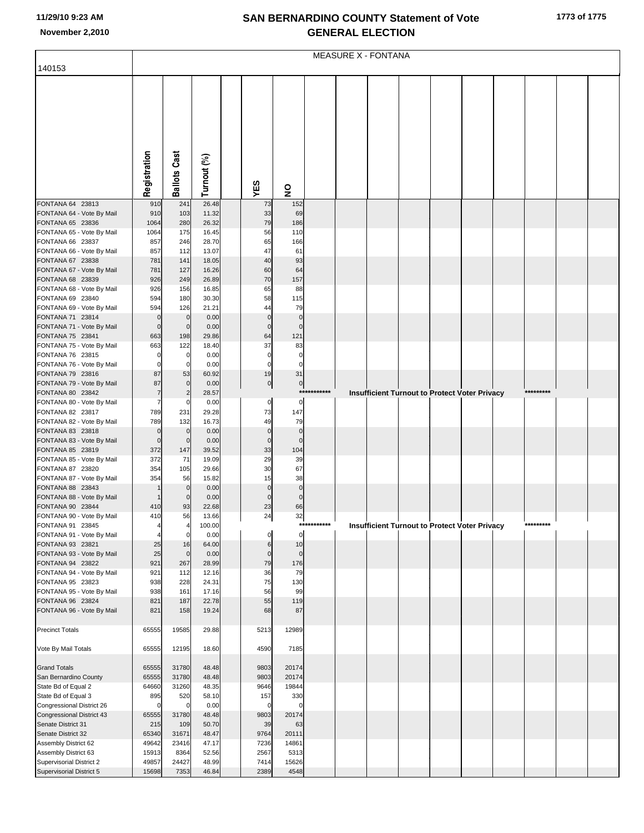## **SAN BERNARDINO COUNTY Statement of Vote November 2,2010 GENERAL ELECTION**

|                                                      | <b>MEASURE X - FONTANA</b> |                            |                |              |                                                          |             |  |  |  |                                                      |  |  |           |  |
|------------------------------------------------------|----------------------------|----------------------------|----------------|--------------|----------------------------------------------------------|-------------|--|--|--|------------------------------------------------------|--|--|-----------|--|
| 140153                                               |                            |                            |                |              |                                                          |             |  |  |  |                                                      |  |  |           |  |
|                                                      |                            |                            |                |              |                                                          |             |  |  |  |                                                      |  |  |           |  |
|                                                      |                            |                            |                |              |                                                          |             |  |  |  |                                                      |  |  |           |  |
|                                                      |                            |                            |                |              |                                                          |             |  |  |  |                                                      |  |  |           |  |
|                                                      |                            |                            |                |              |                                                          |             |  |  |  |                                                      |  |  |           |  |
|                                                      |                            |                            |                |              |                                                          |             |  |  |  |                                                      |  |  |           |  |
|                                                      |                            |                            |                |              |                                                          |             |  |  |  |                                                      |  |  |           |  |
|                                                      |                            |                            |                |              |                                                          |             |  |  |  |                                                      |  |  |           |  |
|                                                      |                            |                            |                |              |                                                          |             |  |  |  |                                                      |  |  |           |  |
|                                                      |                            |                            |                |              |                                                          |             |  |  |  |                                                      |  |  |           |  |
|                                                      |                            |                            |                |              |                                                          |             |  |  |  |                                                      |  |  |           |  |
|                                                      | Registration               | <b>Ballots Cast</b>        | Turnout (%)    | YES          | $\overline{\mathbf{z}}$                                  |             |  |  |  |                                                      |  |  |           |  |
|                                                      |                            |                            |                |              |                                                          |             |  |  |  |                                                      |  |  |           |  |
| FONTANA 64 23813                                     | 910                        | 241                        | 26.48          |              | 152<br>73                                                |             |  |  |  |                                                      |  |  |           |  |
| FONTANA 64 - Vote By Mail<br>FONTANA 65 23836        | 910<br>1064                | 103<br>280                 | 11.32<br>26.32 |              | 33<br>69<br>79<br>186                                    |             |  |  |  |                                                      |  |  |           |  |
| FONTANA 65 - Vote By Mail                            | 1064                       | 175                        | 16.45          |              | 56<br>110                                                |             |  |  |  |                                                      |  |  |           |  |
| FONTANA 66 23837                                     | 857                        | 246                        | 28.70          |              | 65<br>166                                                |             |  |  |  |                                                      |  |  |           |  |
| FONTANA 66 - Vote By Mail                            | 857                        | 112                        | 13.07          |              | 47<br>61                                                 |             |  |  |  |                                                      |  |  |           |  |
| FONTANA 67 23838                                     | 781                        | 141                        | 18.05          |              | 40<br>93                                                 |             |  |  |  |                                                      |  |  |           |  |
| FONTANA 67 - Vote By Mail                            | 781                        | 127                        | 16.26          |              | 60<br>64                                                 |             |  |  |  |                                                      |  |  |           |  |
| FONTANA 68 23839                                     | 926                        | 249                        | 26.89          |              | 70<br>157                                                |             |  |  |  |                                                      |  |  |           |  |
| FONTANA 68 - Vote By Mail                            | 926                        | 156                        | 16.85          |              | 65<br>88                                                 |             |  |  |  |                                                      |  |  |           |  |
| FONTANA 69 23840<br>FONTANA 69 - Vote By Mail        | 594<br>594                 | 180<br>126                 | 30.30<br>21.21 |              | 58<br>115<br>79<br>44                                    |             |  |  |  |                                                      |  |  |           |  |
| FONTANA 71 23814                                     | $\mathbf 0$                | $\mathbf 0$                | 0.00           |              | $\mathbf 0$<br>$\mathbf 0$                               |             |  |  |  |                                                      |  |  |           |  |
| FONTANA 71 - Vote By Mail                            | $\mathbf 0$                | $\mathbf 0$                | 0.00           |              | $\mathbf 0$<br>$\mathbf 0$                               |             |  |  |  |                                                      |  |  |           |  |
| FONTANA 75 23841                                     | 663                        | 198                        | 29.86          |              | 121<br>64                                                |             |  |  |  |                                                      |  |  |           |  |
| FONTANA 75 - Vote By Mail                            | 663                        | 122                        | 18.40          |              | 37<br>83                                                 |             |  |  |  |                                                      |  |  |           |  |
| FONTANA 76 23815                                     | $\mathbf 0$                | 0                          | 0.00           |              | $\mathbf 0$<br>$\mathbf 0$                               |             |  |  |  |                                                      |  |  |           |  |
| FONTANA 76 - Vote By Mail                            | $\mathbf 0$<br>87          | 0                          | 0.00           |              | $\mathbf 0$<br>$\mathbf 0$<br>31                         |             |  |  |  |                                                      |  |  |           |  |
| FONTANA 79 23816<br>FONTANA 79 - Vote By Mail        | 87                         | 53<br>$\mathbf 0$          | 60.92<br>0.00  |              | 19<br>$\overline{0}$<br>$\overline{0}$                   |             |  |  |  |                                                      |  |  |           |  |
| FONTANA 80 23842                                     | $\overline{7}$             |                            | 28.57          |              |                                                          | *********** |  |  |  | Insufficient Turnout to Protect Voter Privacy        |  |  | ********* |  |
| FONTANA 80 - Vote By Mail                            | $\overline{7}$             | 0                          | 0.00           |              | 0<br>0                                                   |             |  |  |  |                                                      |  |  |           |  |
| FONTANA 82 23817                                     | 789                        | 231                        | 29.28          |              | 73<br>147                                                |             |  |  |  |                                                      |  |  |           |  |
| FONTANA 82 - Vote By Mail                            | 789                        | 132                        | 16.73          |              | 49<br>79                                                 |             |  |  |  |                                                      |  |  |           |  |
| FONTANA 83 23818<br>FONTANA 83 - Vote By Mail        | $\mathbf 0$<br>$\mathbf 0$ | $\mathbf 0$<br>$\mathbf 0$ | 0.00<br>0.00   |              | $\mathbf 0$<br>$\mathbf 0$<br>$\mathbf 0$<br>$\mathbf 0$ |             |  |  |  |                                                      |  |  |           |  |
| FONTANA 85 23819                                     | 372                        | 147                        | 39.52          |              | 104<br>33                                                |             |  |  |  |                                                      |  |  |           |  |
| FONTANA 85 - Vote By Mail                            | 372                        | 71                         | 19.09          |              | 39<br>29                                                 |             |  |  |  |                                                      |  |  |           |  |
| FONTANA 87 23820                                     | 354                        | 105                        | 29.66          |              | 67<br>30                                                 |             |  |  |  |                                                      |  |  |           |  |
| FONTANA 87 - Vote By Mail                            | 354                        | 56                         | 15.82          |              | 38<br>15                                                 |             |  |  |  |                                                      |  |  |           |  |
| FONTANA 88 23843                                     |                            | $\mathbf 0$                | 0.00           |              | $\mathbf 0$<br>$\Omega$                                  |             |  |  |  |                                                      |  |  |           |  |
| FONTANA 88 - Vote By Mail<br>FONTANA 90 23844        | 410                        | $\mathbf 0$<br>93          | 0.00<br>22.68  |              | $\mathbf 0$<br>$\Omega$<br>66<br>23                      |             |  |  |  |                                                      |  |  |           |  |
| FONTANA 90 - Vote By Mail                            | 410                        | 56                         | 13.66          |              | 24<br>32                                                 |             |  |  |  |                                                      |  |  |           |  |
| FONTANA 91 23845                                     | 4                          | 4                          | 100.00         |              |                                                          | *********** |  |  |  | <b>Insufficient Turnout to Protect Voter Privacy</b> |  |  | ********* |  |
| FONTANA 91 - Vote By Mail                            | 4                          | 0                          | 0.00           |              | $\mathbf 0$<br>0                                         |             |  |  |  |                                                      |  |  |           |  |
| FONTANA 93 23821                                     | 25                         | 16                         | 64.00          |              | 10<br>$6\phantom{1}6$                                    |             |  |  |  |                                                      |  |  |           |  |
| FONTANA 93 - Vote By Mail                            | 25                         | $\mathbf 0$                | 0.00           |              | $\mathbf 0$<br>$\mathbf 0$                               |             |  |  |  |                                                      |  |  |           |  |
| FONTANA 94 23822<br>FONTANA 94 - Vote By Mail        | 921<br>921                 | 267<br>112                 | 28.99<br>12.16 |              | 79<br>176<br>36<br>79                                    |             |  |  |  |                                                      |  |  |           |  |
| FONTANA 95 23823                                     | 938                        | 228                        | 24.31          |              | 75<br>130                                                |             |  |  |  |                                                      |  |  |           |  |
| FONTANA 95 - Vote By Mail                            | 938                        | 161                        | 17.16          |              | 56<br>99                                                 |             |  |  |  |                                                      |  |  |           |  |
| FONTANA 96 23824                                     | 821                        | 187                        | 22.78          |              | 55<br>119                                                |             |  |  |  |                                                      |  |  |           |  |
| FONTANA 96 - Vote By Mail                            | 821                        | 158                        | 19.24          |              | 87<br>68                                                 |             |  |  |  |                                                      |  |  |           |  |
|                                                      |                            |                            |                |              |                                                          |             |  |  |  |                                                      |  |  |           |  |
| <b>Precinct Totals</b>                               | 65555                      | 19585                      | 29.88          | 5213         | 12989                                                    |             |  |  |  |                                                      |  |  |           |  |
| Vote By Mail Totals                                  | 65555                      | 12195                      | 18.60          | 4590         | 7185                                                     |             |  |  |  |                                                      |  |  |           |  |
|                                                      |                            |                            |                |              |                                                          |             |  |  |  |                                                      |  |  |           |  |
| <b>Grand Totals</b>                                  | 65555                      | 31780                      | 48.48          | 9803         | 20174                                                    |             |  |  |  |                                                      |  |  |           |  |
| San Bernardino County                                | 65555                      | 31780                      | 48.48          | 9803         | 20174                                                    |             |  |  |  |                                                      |  |  |           |  |
| State Bd of Equal 2                                  | 64660                      | 31260                      | 48.35          | 9646         | 19844                                                    |             |  |  |  |                                                      |  |  |           |  |
| State Bd of Equal 3<br>Congressional District 26     | 895<br>$\mathbf 0$         | 520<br>$\mathbf 0$         | 58.10<br>0.00  |              | 330<br>157<br>$\mathbf 0$<br>$\Omega$                    |             |  |  |  |                                                      |  |  |           |  |
| <b>Congressional District 43</b>                     | 65555                      | 31780                      | 48.48          | 9803         | 20174                                                    |             |  |  |  |                                                      |  |  |           |  |
| Senate District 31                                   | 215                        | 109                        | 50.70          |              | 39<br>63                                                 |             |  |  |  |                                                      |  |  |           |  |
| Senate District 32                                   | 65340                      | 31671                      | 48.47          | 9764         | 20111                                                    |             |  |  |  |                                                      |  |  |           |  |
| Assembly District 62                                 | 49642                      | 23416                      | 47.17          | 7236         | 14861                                                    |             |  |  |  |                                                      |  |  |           |  |
| Assembly District 63                                 | 15913                      | 8364                       | 52.56          | 2567         | 5313                                                     |             |  |  |  |                                                      |  |  |           |  |
| Supervisorial District 2<br>Supervisorial District 5 | 49857<br>15698             | 24427<br>7353              | 48.99<br>46.84 | 7414<br>2389 | 15626<br>4548                                            |             |  |  |  |                                                      |  |  |           |  |
|                                                      |                            |                            |                |              |                                                          |             |  |  |  |                                                      |  |  |           |  |